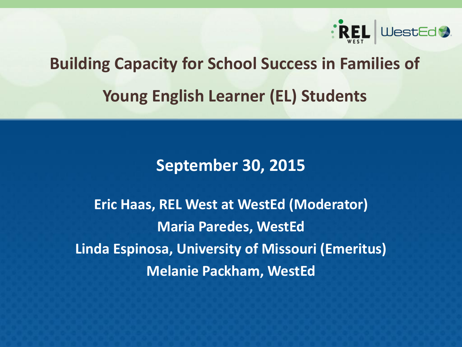

# **Building Capacity for School Success in Families of Young English Learner (EL) Students**

#### **September 30, 2015**

**Eric Haas, REL West at WestEd (Moderator) Maria Paredes, WestEd Linda Espinosa, University of Missouri (Emeritus) Melanie Packham, WestEd**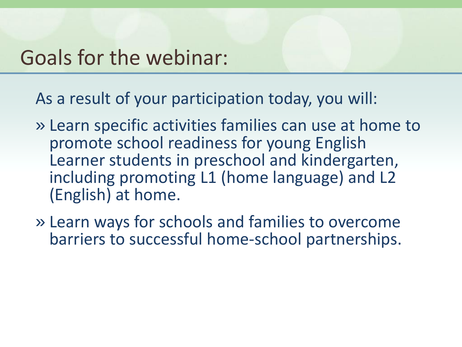### Goals for the webinar:

As a result of your participation today, you will:

- » Learn specific activities families can use at home to promote school readiness for young English Learner students in preschool and kindergarten, including promoting L1 (home language) and L2 (English) at home.
- » Learn ways for schools and families to overcome barriers to successful home-school partnerships.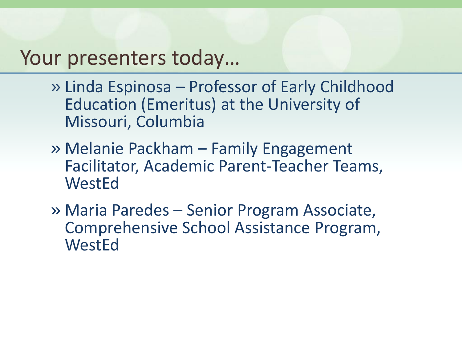### Your presenters today…

- » Linda Espinosa Professor of Early Childhood Education (Emeritus) at the University of Missouri, Columbia
- » Melanie Packham Family Engagement Facilitator, Academic Parent-Teacher Teams, WestEd
- » Maria Paredes Senior Program Associate, Comprehensive School Assistance Program, **WestEd**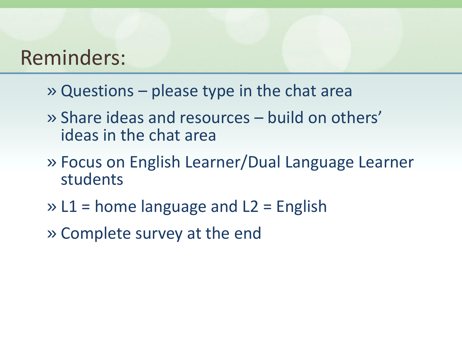### Reminders:

- » Questions please type in the chat area
- » Share ideas and resources build on others' ideas in the chat area
- » Focus on English Learner/Dual Language Learner students
- » L1 = home language and L2 = English
- » Complete survey at the end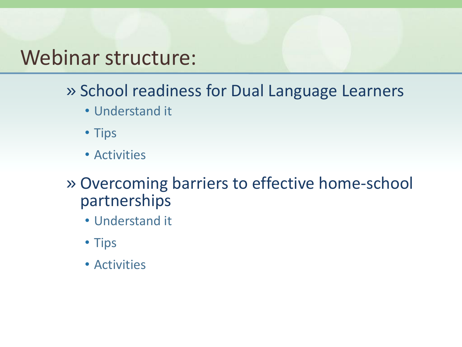### Webinar structure:

- » School readiness for Dual Language Learners
	- Understand it
	- Tips
	- Activities
- » Overcoming barriers to effective home-school partnerships
	- Understand it
	- Tips
	- Activities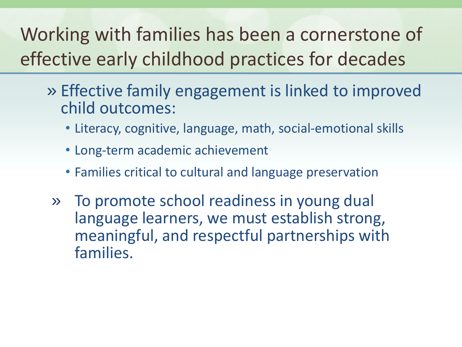Working with families has been a cornerstone of effective early childhood practices for decades

- » Effective family engagement is linked to improved child outcomes:
	- Literacy, cognitive, language, math, social-emotional skills
	- Long-term academic achievement
	- Families critical to cultural and language preservation
	- » To promote school readiness in young dual language learners, we must establish strong, meaningful, and respectful partnerships with families.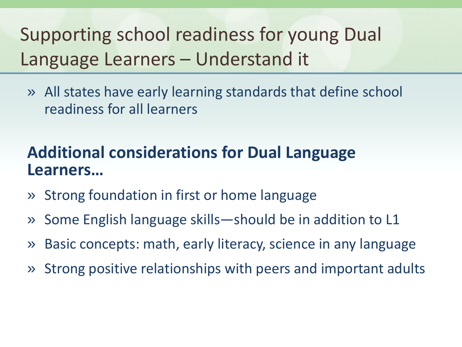Supporting school readiness for young Dual Language Learners – Understand it

» All states have early learning standards that define school readiness for all learners

### **Additional considerations for Dual Language Learners…**

- » Strong foundation in first or home language
- » Some English language skills—should be in addition to L1
- » Basic concepts: math, early literacy, science in any language
- » Strong positive relationships with peers and important adults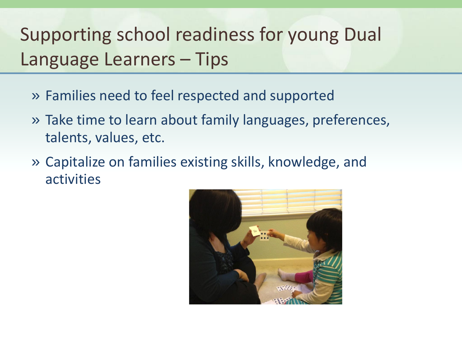## Supporting school readiness for young Dual Language Learners – Tips

- » Families need to feel respected and supported
- » Take time to learn about family languages, preferences, talents, values, etc.
- » Capitalize on families existing skills, knowledge, and activities

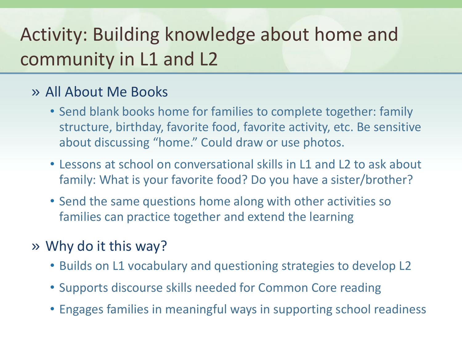## Activity: Building knowledge about home and community in L1 and L2

#### » All About Me Books

- Send blank books home for families to complete together: family structure, birthday, favorite food, favorite activity, etc. Be sensitive about discussing "home." Could draw or use photos.
- Lessons at school on conversational skills in L1 and L2 to ask about family: What is your favorite food? Do you have a sister/brother?
- Send the same questions home along with other activities so families can practice together and extend the learning
- » Why do it this way?
	- Builds on L1 vocabulary and questioning strategies to develop L2
	- Supports discourse skills needed for Common Core reading
	- Engages families in meaningful ways in supporting school readiness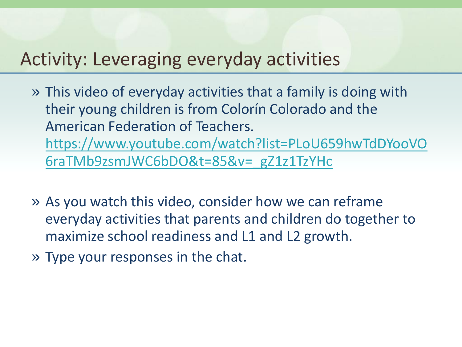### Activity: Leveraging everyday activities

- » This video of everyday activities that a family is doing with their young children is from Colorín Colorado and the American Federation of Teachers. [https://www.youtube.com/watch?list=PLoU659hwTdDYooVO](https://www.youtube.com/watch?list=PLoU659hwTdDYooVO6raTMb9zsmJWC6bDO&t=85&v=_gZ1z1TzYHc) [6raTMb9zsmJWC6bDO&t=85&v=\\_gZ1z1TzYHc](https://www.youtube.com/watch?list=PLoU659hwTdDYooVO6raTMb9zsmJWC6bDO&t=85&v=_gZ1z1TzYHc)
- » As you watch this video, consider how we can reframe everyday activities that parents and children do together to maximize school readiness and L1 and L2 growth.
- » Type your responses in the chat.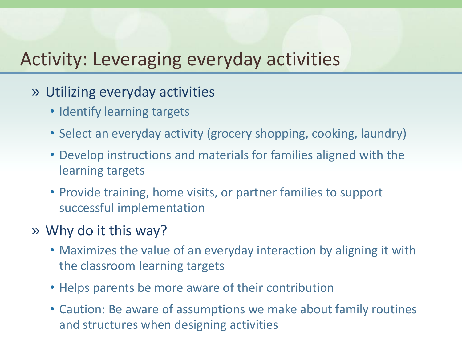### Activity: Leveraging everyday activities

- » Utilizing everyday activities
	- Identify learning targets
	- Select an everyday activity (grocery shopping, cooking, laundry)
	- Develop instructions and materials for families aligned with the learning targets
	- Provide training, home visits, or partner families to support successful implementation
- » Why do it this way?
	- Maximizes the value of an everyday interaction by aligning it with the classroom learning targets
	- Helps parents be more aware of their contribution
	- Caution: Be aware of assumptions we make about family routines and structures when designing activities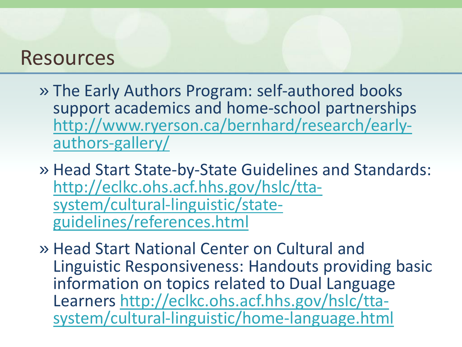- » The Early Authors Program: self-authored books support academics and home-school partnerships [http://www.ryerson.ca/bernhard/research/early](http://www.ryerson.ca/bernhard/research/early-authors-gallery/)[authors-gallery/](http://www.ryerson.ca/bernhard/research/early-authors-gallery/)
- » Head Start State-by-State Guidelines and Standards: [http://eclkc.ohs.acf.hhs.gov/hslc/tta](http://eclkc.ohs.acf.hhs.gov/hslc/tta-system/cultural-linguistic/state-guidelines/references.html)[system/cultural-linguistic/state](http://eclkc.ohs.acf.hhs.gov/hslc/tta-system/cultural-linguistic/state-guidelines/references.html)[guidelines/references.html](http://eclkc.ohs.acf.hhs.gov/hslc/tta-system/cultural-linguistic/state-guidelines/references.html)
- » Head Start National Center on Cultural and Linguistic Responsiveness: Handouts providing basic information on topics related to Dual Language Learners [http://eclkc.ohs.acf.hhs.gov/hslc/tta](http://eclkc.ohs.acf.hhs.gov/hslc/tta-system/cultural-linguistic/home-language.html)[system/cultural-linguistic/home-language.html](http://eclkc.ohs.acf.hhs.gov/hslc/tta-system/cultural-linguistic/home-language.html)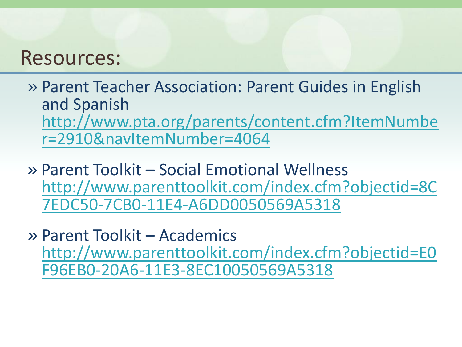» Parent Teacher Association: Parent Guides in English and Spanish [http://www.pta.org/parents/content.cfm?ItemNumbe](http://www.pta.org/parents/content.cfm?ItemNumber=2910&navItemNumber=4064) [r=2910&navItemNumber=4064](http://www.pta.org/parents/content.cfm?ItemNumber=2910&navItemNumber=4064)

- » Parent Toolkit Social Emotional Wellness [http://www.parenttoolkit.com/index.cfm?objectid=8C](http://www.parenttoolkit.com/index.cfm?objectid=8C7EDC50-7CB0-11E4-A6DD0050569A5318) [7EDC50-7CB0-11E4-A6DD0050569A5318](http://www.parenttoolkit.com/index.cfm?objectid=8C7EDC50-7CB0-11E4-A6DD0050569A5318)
- » Parent Toolkit Academics [http://www.parenttoolkit.com/index.cfm?objectid=E0](http://www.parenttoolkit.com/index.cfm?objectid=E0F96EB0-20A6-11E3-8EC10050569A5318) [F96EB0-20A6-11E3-8EC10050569A5318](http://www.parenttoolkit.com/index.cfm?objectid=E0F96EB0-20A6-11E3-8EC10050569A5318)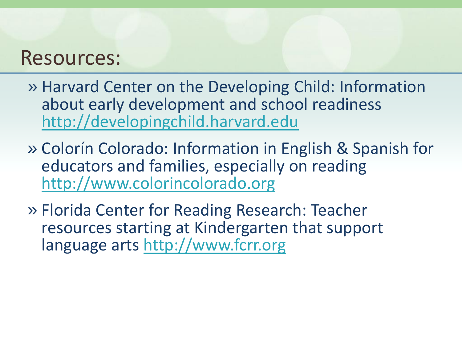- » Harvard Center on the Developing Child: Information about early development and school readiness <http://developingchild.harvard.edu>
- » Colorín Colorado: Information in English & Spanish for educators and families, especially on reading <http://www.colorincolorado.org>
- » Florida Center for Reading Research: Teacher resources starting at Kindergarten that support language arts [http://www.fcrr.org](http://www.fcrr.org/)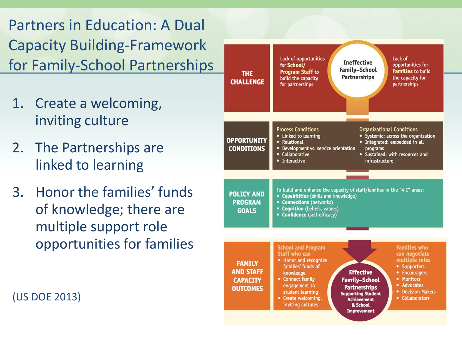Partners in Education: A Dual Capacity Building-Framework for Family-School Partnerships

- 1. Create a welcoming, inviting culture
- 2. The Partnerships are linked to learning
- 3. Honor the families' funds of knowledge; there are multiple support role opportunities for families



**Improvement** 

(US DOE 2013)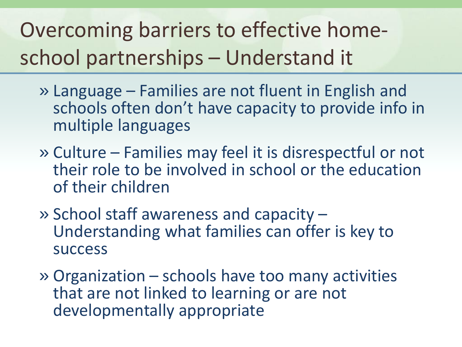Overcoming barriers to effective homeschool partnerships – Understand it

- » Language Families are not fluent in English and schools often don't have capacity to provide info in multiple languages
- » Culture Families may feel it is disrespectful or not their role to be involved in school or the education of their children
- » School staff awareness and capacity Understanding what families can offer is key to success
- » Organization schools have too many activities that are not linked to learning or are not developmentally appropriate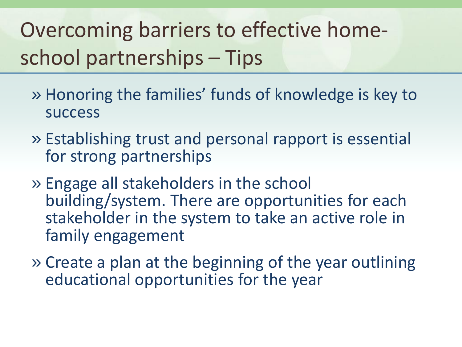# Overcoming barriers to effective homeschool partnerships – Tips

- » Honoring the families' funds of knowledge is key to success
- » Establishing trust and personal rapport is essential for strong partnerships
- » Engage all stakeholders in the school building/system. There are opportunities for each stakeholder in the system to take an active role in family engagement
- » Create a plan at the beginning of the year outlining educational opportunities for the year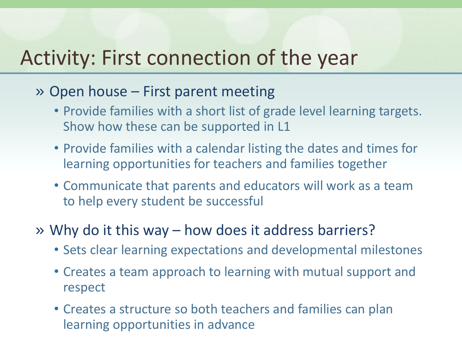## Activity: First connection of the year

- » Open house First parent meeting
	- Provide families with a short list of grade level learning targets. Show how these can be supported in L1
	- Provide families with a calendar listing the dates and times for learning opportunities for teachers and families together
	- Communicate that parents and educators will work as a team to help every student be successful
- » Why do it this way how does it address barriers?
	- Sets clear learning expectations and developmental milestones
	- Creates a team approach to learning with mutual support and respect
	- Creates a structure so both teachers and families can plan learning opportunities in advance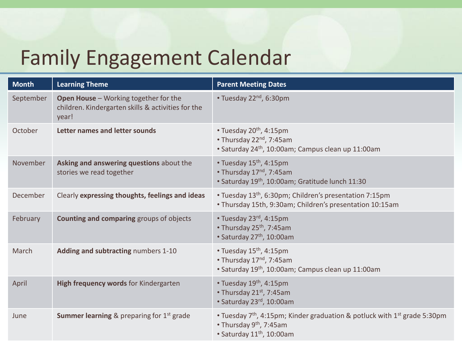## Family Engagement Calendar

| <b>Month</b> | <b>Learning Theme</b>                                                                                | <b>Parent Meeting Dates</b>                                                                                                                                                       |
|--------------|------------------------------------------------------------------------------------------------------|-----------------------------------------------------------------------------------------------------------------------------------------------------------------------------------|
| September    | Open House - Working together for the<br>children. Kindergarten skills & activities for the<br>year! | • Tuesday $22^{nd}$ , 6:30pm                                                                                                                                                      |
| October      | Letter names and letter sounds                                                                       | • Tuesday $20th$ , 4:15pm<br>• Thursday 22 <sup>nd</sup> , 7:45am<br>• Saturday 24 <sup>th</sup> , 10:00am; Campus clean up 11:00am                                               |
| November     | Asking and answering questions about the<br>stories we read together                                 | • Tuesday 15 <sup>th</sup> , 4:15pm<br>• Thursday 17 <sup>nd</sup> , 7:45am<br>• Saturday 19th, 10:00am; Gratitude lunch 11:30                                                    |
| December     | Clearly expressing thoughts, feelings and ideas                                                      | • Tuesday 13 <sup>th</sup> , 6:30pm; Children's presentation 7:15pm<br>. Thursday 15th, 9:30am; Children's presentation 10:15am                                                   |
| February     | <b>Counting and comparing groups of objects</b>                                                      | • Tuesday $23^{rd}$ , 4:15pm<br>• Thursday 25 <sup>th</sup> , 7:45am<br>• Saturday 27 <sup>th</sup> , 10:00am                                                                     |
| March        | Adding and subtracting numbers 1-10                                                                  | • Tuesday $15th$ , 4:15pm<br>• Thursday 17 <sup>nd</sup> , 7:45am<br>• Saturday 19th, 10:00am; Campus clean up 11:00am                                                            |
| April        | High frequency words for Kindergarten                                                                | • Tuesday $19th$ , 4:15pm<br>• Thursday $21^{st}$ , 7:45am<br>· Saturday 23rd, 10:00am                                                                                            |
| June         | <b>Summer learning &amp; preparing for <math>1st</math> grade</b>                                    | • Tuesday 7 <sup>th</sup> , 4:15pm; Kinder graduation & potluck with 1 <sup>st</sup> grade 5:30pm<br>• Thursday 9 <sup>th</sup> , 7:45am<br>• Saturday 11 <sup>th</sup> , 10:00am |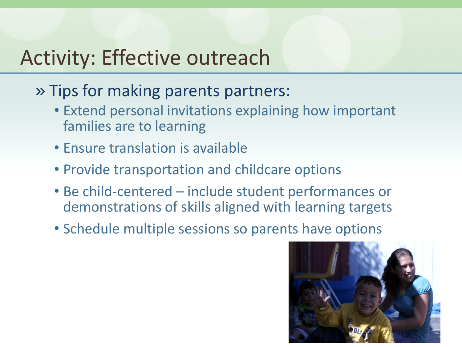## Activity: Effective outreach

- » Tips for making parents partners:
	- Extend personal invitations explaining how important families are to learning
	- Ensure translation is available
	- Provide transportation and childcare options
	- Be child-centered include student performances or demonstrations of skills aligned with learning targets
	- Schedule multiple sessions so parents have options

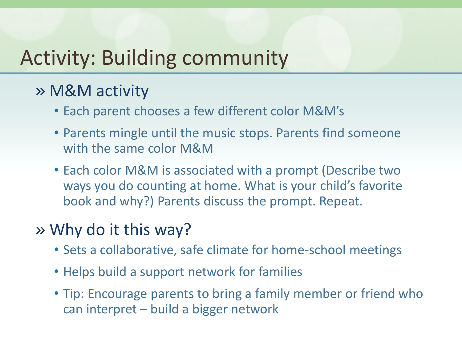## Activity: Building community

### » M&M activity

- Each parent chooses a few different color M&M's
- Parents mingle until the music stops. Parents find someone with the same color M&M
- Each color M&M is associated with a prompt (Describe two ways you do counting at home. What is your child's favorite book and why?) Parents discuss the prompt. Repeat.

### » Why do it this way?

- Sets a collaborative, safe climate for home-school meetings
- Helps build a support network for families
- Tip: Encourage parents to bring a family member or friend who can interpret – build a bigger network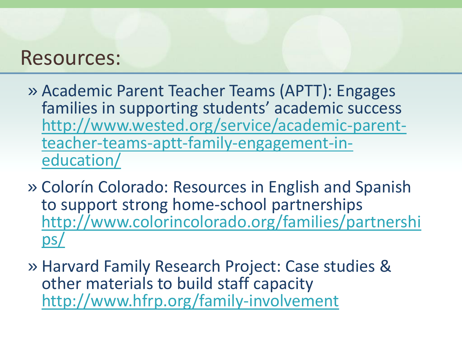- » Academic Parent Teacher Teams (APTT): Engages families in supporting students' academic success [http://www.wested.org/service/academic-parent](http://www.wested.org/service/academic-parent-teacher-teams-aptt-family-engagement-in-education/)[teacher-teams-aptt-family-engagement-in](http://www.wested.org/service/academic-parent-teacher-teams-aptt-family-engagement-in-education/)[education/](http://www.wested.org/service/academic-parent-teacher-teams-aptt-family-engagement-in-education/)
- » Colorín Colorado: Resources in English and Spanish to support strong home-school partnerships [http://www.colorincolorado.org/families/partnershi](http://www.colorincolorado.org/families/partnerships/) [ps/](http://www.colorincolorado.org/families/partnerships/)
- » Harvard Family Research Project: Case studies & other materials to build staff capacity <http://www.hfrp.org/family-involvement>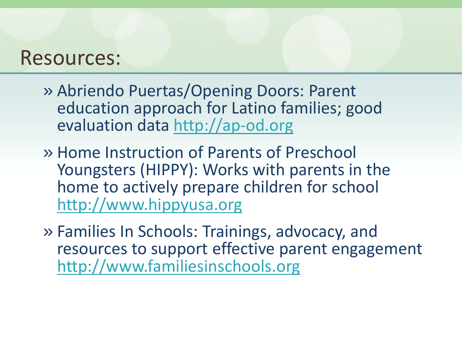- » Abriendo Puertas/Opening Doors: Parent education approach for Latino families; good evaluation data <http://ap-od.org>
- » Home Instruction of Parents of Preschool Youngsters (HIPPY): Works with parents in the home to actively prepare children for school <http://www.hippyusa.org>
- » Families In Schools: Trainings, advocacy, and resources to support effective parent engagement [http://www.familiesinschools.org](http://www.familiesinschools.org/)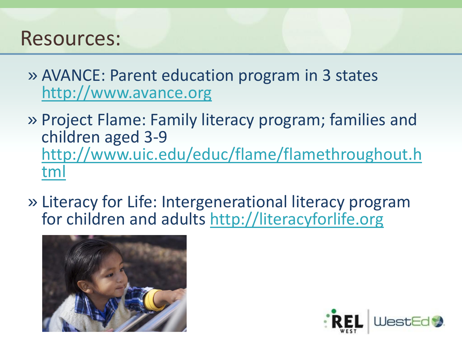- » AVANCE: Parent education program in 3 states <http://www.avance.org>
- » Project Flame: Family literacy program; families and children aged 3-9 [http://www.uic.edu/educ/flame/flamethroughout.h](http://www.uic.edu/educ/flame/flamethroughout.html) [tml](http://www.uic.edu/educ/flame/flamethroughout.html)
- » Literacy for Life: Intergenerational literacy prog[r](http://literacyforlife.org)am for children and adults<http://literacyforlife.org>



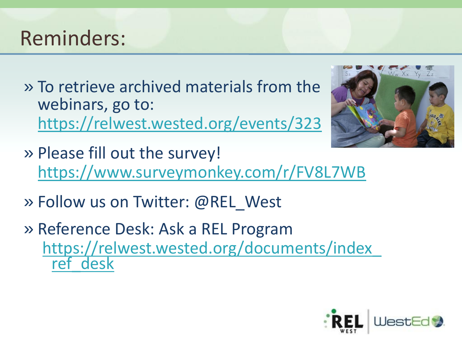## Reminders:

» To retrieve archived materials from the webinars, go to: <https://relwest.wested.org/events/323>



- » Please fill out the survey! <https://www.surveymonkey.com/r/FV8L7WB>
- » Follow us on Twitter: @REL\_West
- » Reference Desk: Ask a REL Program [https://relwest.wested.org/documents/index\\_](https://relwest.wested.org/documents/index_ref_desk) ref desk